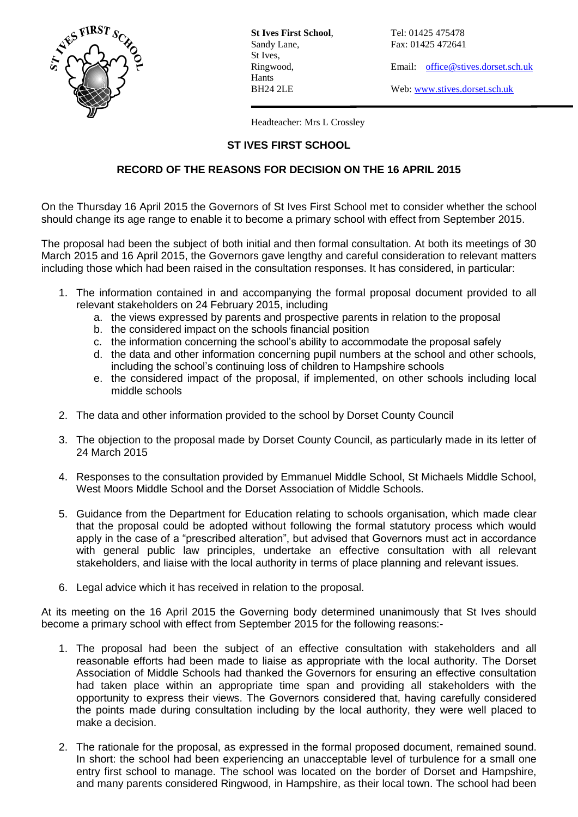

**St Ives First School.** Tel: 01425 475478 St Ives, Hants

Sandy Lane, Fax: 01425 472641

Ringwood, Email: [office@stives.dorset.sch.uk](mailto:office@stives.dorset.sch.uk)

BH24 2LE Web[: www.stives.dorset.sch.uk](http://www.stives.dorset.sch.uk/)

Headteacher: Mrs L Crossley

## **ST IVES FIRST SCHOOL**

## **RECORD OF THE REASONS FOR DECISION ON THE 16 APRIL 2015**

On the Thursday 16 April 2015 the Governors of St Ives First School met to consider whether the school should change its age range to enable it to become a primary school with effect from September 2015.

The proposal had been the subject of both initial and then formal consultation. At both its meetings of 30 March 2015 and 16 April 2015, the Governors gave lengthy and careful consideration to relevant matters including those which had been raised in the consultation responses. It has considered, in particular:

- 1. The information contained in and accompanying the formal proposal document provided to all relevant stakeholders on 24 February 2015, including
	- a. the views expressed by parents and prospective parents in relation to the proposal
	- b. the considered impact on the schools financial position
	- c. the information concerning the school's ability to accommodate the proposal safely
	- d. the data and other information concerning pupil numbers at the school and other schools, including the school's continuing loss of children to Hampshire schools
	- e. the considered impact of the proposal, if implemented, on other schools including local middle schools
- 2. The data and other information provided to the school by Dorset County Council
- 3. The objection to the proposal made by Dorset County Council, as particularly made in its letter of 24 March 2015
- 4. Responses to the consultation provided by Emmanuel Middle School, St Michaels Middle School, West Moors Middle School and the Dorset Association of Middle Schools.
- 5. Guidance from the Department for Education relating to schools organisation, which made clear that the proposal could be adopted without following the formal statutory process which would apply in the case of a "prescribed alteration", but advised that Governors must act in accordance with general public law principles, undertake an effective consultation with all relevant stakeholders, and liaise with the local authority in terms of place planning and relevant issues.
- 6. Legal advice which it has received in relation to the proposal.

At its meeting on the 16 April 2015 the Governing body determined unanimously that St Ives should become a primary school with effect from September 2015 for the following reasons:-

- 1. The proposal had been the subject of an effective consultation with stakeholders and all reasonable efforts had been made to liaise as appropriate with the local authority. The Dorset Association of Middle Schools had thanked the Governors for ensuring an effective consultation had taken place within an appropriate time span and providing all stakeholders with the opportunity to express their views. The Governors considered that, having carefully considered the points made during consultation including by the local authority, they were well placed to make a decision.
- 2. The rationale for the proposal, as expressed in the formal proposed document, remained sound. In short: the school had been experiencing an unacceptable level of turbulence for a small one entry first school to manage. The school was located on the border of Dorset and Hampshire, and many parents considered Ringwood, in Hampshire, as their local town. The school had been